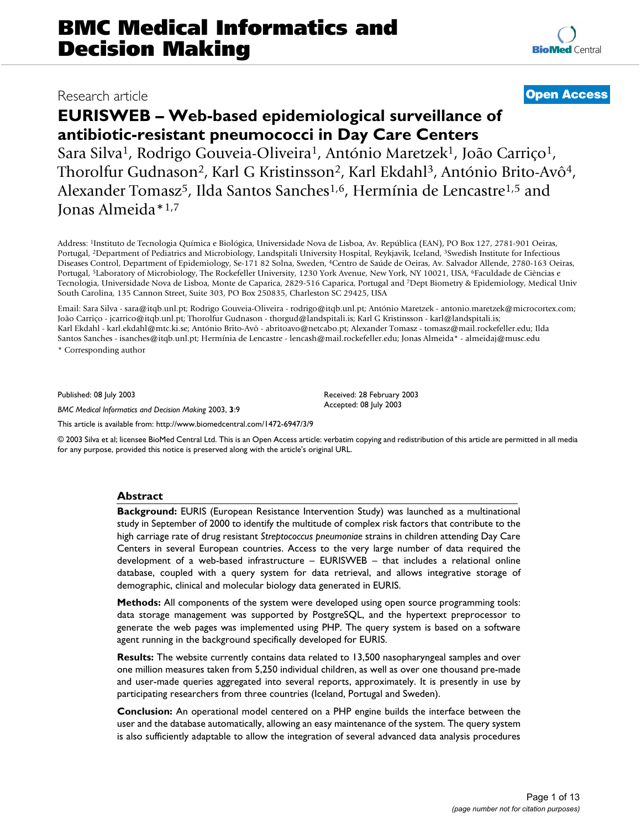# Research article **Open Access**

# **EURISWEB – Web-based epidemiological surveillance of antibiotic-resistant pneumococci in Day Care Centers**

Sara Silva<sup>1</sup>, Rodrigo Gouveia-Oliveira<sup>1</sup>, António Maretzek<sup>1</sup>, João Carriço<sup>1</sup>, Thorolfur Gudnason2, Karl G Kristinsson2, Karl Ekdahl3, António Brito-Avô4, Alexander Tomasz<sup>5</sup>, Ilda Santos Sanches<sup>1,6</sup>, Hermínia de Lencastre<sup>1,5</sup> and Jonas Almeida\*1,7

Address: 1Instituto de Tecnologia Química e Biológica, Universidade Nova de Lisboa, Av. República (EAN), PO Box 127, 2781-901 Oeiras, Portugal, 2Department of Pediatrics and Microbiology, Landspitali University Hospital, Reykjavik, Iceland, 3Swedish Institute for Infectious Diseases Control, Department of Epidemiology, Se-171 82 Solna, Sweden, 4Centro de Saúde de Oeiras, Av. Salvador Allende, 2780-163 Oeiras, Portugal, 5Laboratory of Microbiology, The Rockefeller University, 1230 York Avenue, New York, NY 10021, USA, 6Faculdade de Ciências e Tecnologia, Universidade Nova de Lisboa, Monte de Caparica, 2829-516 Caparica, Portugal and 7Dept Biometry & Epidemiology, Medical Univ South Carolina, 135 Cannon Street, Suite 303, PO Box 250835, Charleston SC 29425, USA

Email: Sara Silva - sara@itqb.unl.pt; Rodrigo Gouveia-Oliveira - rodrigo@itqb.unl.pt; António Maretzek - antonio.maretzek@microcortex.com; João Carriço - jcarrico@itqb.unl.pt; Thorolfur Gudnason - thorgud@landspitali.is; Karl G Kristinsson - karl@landspitali.is; Karl Ekdahl - karl.ekdahl@mtc.ki.se; António Brito-Avô - abritoavo@netcabo.pt; Alexander Tomasz - tomasz@mail.rockefeller.edu; Ilda Santos Sanches - isanches@itqb.unl.pt; Hermínia de Lencastre - lencash@mail.rockefeller.edu; Jonas Almeida\* - almeidaj@musc.edu

\* Corresponding author

Published: 08 July 2003

*BMC Medical Informatics and Decision Making* 2003, **3**:9

This article is available from: http://www.biomedcentral.com/1472-6947/3/9

© 2003 Silva et al; licensee BioMed Central Ltd. This is an Open Access article: verbatim copying and redistribution of this article are permitted in all media for any purpose, provided this notice is preserved along with the article's original URL.

Received: 28 February 2003 Accepted: 08 July 2003

# **Abstract**

**Background:** EURIS (European Resistance Intervention Study) was launched as a multinational study in September of 2000 to identify the multitude of complex risk factors that contribute to the high carriage rate of drug resistant *Streptococcus pneumoniae* strains in children attending Day Care Centers in several European countries. Access to the very large number of data required the development of a web-based infrastructure – EURISWEB – that includes a relational online database, coupled with a query system for data retrieval, and allows integrative storage of demographic, clinical and molecular biology data generated in EURIS.

**Methods:** All components of the system were developed using open source programming tools: data storage management was supported by PostgreSQL, and the hypertext preprocessor to generate the web pages was implemented using PHP. The query system is based on a software agent running in the background specifically developed for EURIS.

**Results:** The website currently contains data related to 13,500 nasopharyngeal samples and over one million measures taken from 5,250 individual children, as well as over one thousand pre-made and user-made queries aggregated into several reports, approximately. It is presently in use by participating researchers from three countries (Iceland, Portugal and Sweden).

**Conclusion:** An operational model centered on a PHP engine builds the interface between the user and the database automatically, allowing an easy maintenance of the system. The query system is also sufficiently adaptable to allow the integration of several advanced data analysis procedures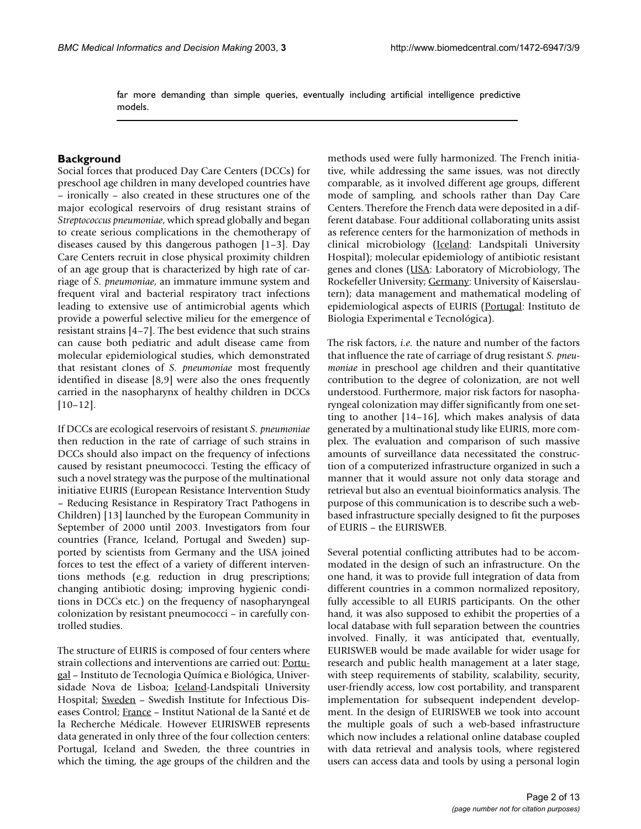far more demanding than simple queries, eventually including artificial intelligence predictive models.

# **Background**

Social forces that produced Day Care Centers (DCCs) for preschool age children in many developed countries have – ironically – also created in these structures one of the major ecological reservoirs of drug resistant strains of *Streptococcus pneumoniae*, which spread globally and began to create serious complications in the chemotherapy of diseases caused by this dangerous pathogen [1–3]. Day Care Centers recruit in close physical proximity children of an age group that is characterized by high rate of carriage of *S. pneumoniae*, an immature immune system and frequent viral and bacterial respiratory tract infections leading to extensive use of antimicrobial agents which provide a powerful selective milieu for the emergence of resistant strains [4–7]. The best evidence that such strains can cause both pediatric and adult disease came from molecular epidemiological studies, which demonstrated that resistant clones of *S. pneumoniae* most frequently identified in disease [8,9] were also the ones frequently carried in the nasopharynx of healthy children in DCCs [10–12].

If DCCs are ecological reservoirs of resistant *S. pneumoniae* then reduction in the rate of carriage of such strains in DCCs should also impact on the frequency of infections caused by resistant pneumococci. Testing the efficacy of such a novel strategy was the purpose of the multinational initiative EURIS (European Resistance Intervention Study – Reducing Resistance in Respiratory Tract Pathogens in Children) [13] launched by the European Community in September of 2000 until 2003. Investigators from four countries (France, Iceland, Portugal and Sweden) supported by scientists from Germany and the USA joined forces to test the effect of a variety of different interventions methods (e.g. reduction in drug prescriptions; changing antibiotic dosing; improving hygienic conditions in DCCs etc.) on the frequency of nasopharyngeal colonization by resistant pneumococci – in carefully controlled studies.

The structure of EURIS is composed of four centers where strain collections and interventions are carried out: Portugal – Instituto de Tecnologia Química e Biológica, Universidade Nova de Lisboa; Iceland-Landspitali University Hospital; Sweden – Swedish Institute for Infectious Diseases Control; France – Institut National de la Santé et de la Recherche Médicale. However EURISWEB represents data generated in only three of the four collection centers: Portugal, Iceland and Sweden, the three countries in which the timing, the age groups of the children and the methods used were fully harmonized. The French initiative, while addressing the same issues, was not directly comparable, as it involved different age groups, different mode of sampling, and schools rather than Day Care Centers. Therefore the French data were deposited in a different database. Four additional collaborating units assist as reference centers for the harmonization of methods in clinical microbiology (Iceland: Landspitali University Hospital); molecular epidemiology of antibiotic resistant genes and clones (USA: Laboratory of Microbiology, The Rockefeller University; Germany: University of Kaiserslautern); data management and mathematical modeling of epidemiological aspects of EURIS (Portugal: Instituto de Biologia Experimental e Tecnológica).

The risk factors, *i.e.* the nature and number of the factors that influence the rate of carriage of drug resistant *S. pneumoniae* in preschool age children and their quantitative contribution to the degree of colonization, are not well understood. Furthermore, major risk factors for nasopharyngeal colonization may differ significantly from one setting to another [14–16], which makes analysis of data generated by a multinational study like EURIS, more complex. The evaluation and comparison of such massive amounts of surveillance data necessitated the construction of a computerized infrastructure organized in such a manner that it would assure not only data storage and retrieval but also an eventual bioinformatics analysis. The purpose of this communication is to describe such a webbased infrastructure specially designed to fit the purposes of EURIS – the EURISWEB.

Several potential conflicting attributes had to be accommodated in the design of such an infrastructure. On the one hand, it was to provide full integration of data from different countries in a common normalized repository, fully accessible to all EURIS participants. On the other hand, it was also supposed to exhibit the properties of a local database with full separation between the countries involved. Finally, it was anticipated that, eventually, EURISWEB would be made available for wider usage for research and public health management at a later stage, with steep requirements of stability, scalability, security, user-friendly access, low cost portability, and transparent implementation for subsequent independent development. In the design of EURISWEB we took into account the multiple goals of such a web-based infrastructure which now includes a relational online database coupled with data retrieval and analysis tools, where registered users can access data and tools by using a personal login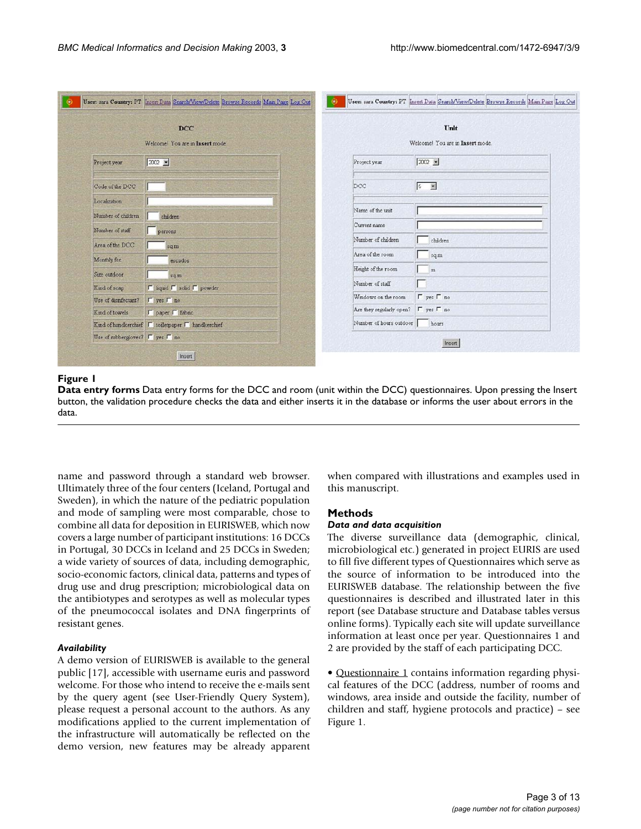|                                 | <b>DCC</b><br>Welcome! You are in Insert mode.                   |                          | Unit<br>Welcome! You are in Insert mode. |  |  |  |  |
|---------------------------------|------------------------------------------------------------------|--------------------------|------------------------------------------|--|--|--|--|
| Project year                    | $2002 -$                                                         | Project year             | $2002 -$                                 |  |  |  |  |
| Code of the DCC                 |                                                                  | DCC                      | 5<br>$\vert \mathbf{r} \vert$            |  |  |  |  |
| Localization                    |                                                                  |                          |                                          |  |  |  |  |
| Number of children              | children                                                         | Name of the unit         |                                          |  |  |  |  |
| Number of staff                 | persons                                                          | Current name             |                                          |  |  |  |  |
| Area of the DCC                 | sq.m                                                             | Number of children       | children                                 |  |  |  |  |
| Monthly fee                     | escudos                                                          | Area of the room         | sq.m                                     |  |  |  |  |
| Size outdoor                    | sqm                                                              | Height of the room       | m                                        |  |  |  |  |
| Kind of soap                    | $\Box$ liquid $\Box$ solid $\Box$ powder                         | Number of staff          |                                          |  |  |  |  |
| Use of disinfectant?            | F yes F no                                                       | Windows on the room      | $\Gamma$ yes $\Gamma$ no                 |  |  |  |  |
| Kind of towels                  | F paper F fabric                                                 | Are they regularly open? | $\Gamma$ yes $\Gamma$ no                 |  |  |  |  |
|                                 | Kind of handkerchief $\Box$ to<br>illetpaper $\Box$ handkerchief | Number of hours outdoor  | hours                                    |  |  |  |  |
| Use of rubbergloves? F yes F no |                                                                  |                          |                                          |  |  |  |  |

**Data entry forms** Data entry forms for the DCC and room (unit within the DCC) questionnaires. Upon pressing the Insert button, the validation procedure checks the data and either inserts it in the database or informs the user about errors in the data.

name and password through a standard web browser. Ultimately three of the four centers (Iceland, Portugal and Sweden), in which the nature of the pediatric population and mode of sampling were most comparable, chose to combine all data for deposition in EURISWEB, which now covers a large number of participant institutions: 16 DCCs in Portugal, 30 DCCs in Iceland and 25 DCCs in Sweden; a wide variety of sources of data, including demographic, socio-economic factors, clinical data, patterns and types of drug use and drug prescription; microbiological data on the antibiotypes and serotypes as well as molecular types of the pneumococcal isolates and DNA fingerprints of resistant genes.

# *Availability*

A demo version of EURISWEB is available to the general public [17], accessible with username euris and password welcome. For those who intend to receive the e-mails sent by the query agent (see User-Friendly Query System), please request a personal account to the authors. As any modifications applied to the current implementation of the infrastructure will automatically be reflected on the demo version, new features may be already apparent when compared with illustrations and examples used in this manuscript.

# **Methods**

#### *Data and data acquisition*

The diverse surveillance data (demographic, clinical, microbiological etc.) generated in project EURIS are used to fill five different types of Questionnaires which serve as the source of information to be introduced into the EURISWEB database. The relationship between the five questionnaires is described and illustrated later in this report (see Database structure and Database tables versus online forms). Typically each site will update surveillance information at least once per year. Questionnaires 1 and 2 are provided by the staff of each participating DCC.

• Questionnaire 1 contains information regarding physical features of the DCC (address, number of rooms and windows, area inside and outside the facility, number of children and staff, hygiene protocols and practice) – see Figure 1.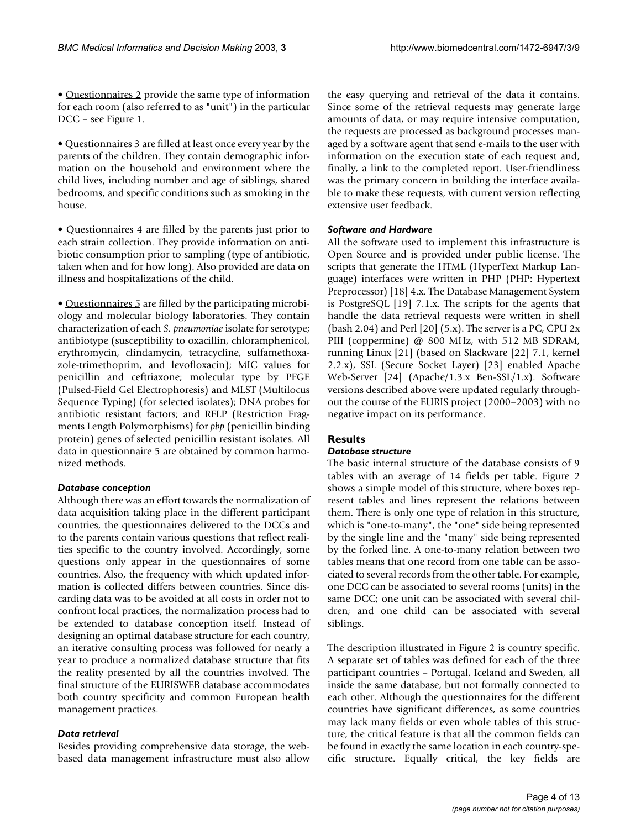• Questionnaires 2 provide the same type of information for each room (also referred to as "unit") in the particular DCC – see Figure 1.

• Questionnaires 3 are filled at least once every year by the parents of the children. They contain demographic information on the household and environment where the child lives, including number and age of siblings, shared bedrooms, and specific conditions such as smoking in the house.

• Questionnaires 4 are filled by the parents just prior to each strain collection. They provide information on antibiotic consumption prior to sampling (type of antibiotic, taken when and for how long). Also provided are data on illness and hospitalizations of the child.

• Questionnaires 5 are filled by the participating microbiology and molecular biology laboratories. They contain characterization of each *S. pneumoniae* isolate for serotype; antibiotype (susceptibility to oxacillin, chloramphenicol, erythromycin, clindamycin, tetracycline, sulfamethoxazole-trimethoprim, and levofloxacin); MIC values for penicillin and ceftriaxone; molecular type by PFGE (Pulsed-Field Gel Electrophoresis) and MLST (Multilocus Sequence Typing) (for selected isolates); DNA probes for antibiotic resistant factors; and RFLP (Restriction Fragments Length Polymorphisms) for *pbp* (penicillin binding protein) genes of selected penicillin resistant isolates. All data in questionnaire 5 are obtained by common harmonized methods.

#### *Database conception*

Although there was an effort towards the normalization of data acquisition taking place in the different participant countries, the questionnaires delivered to the DCCs and to the parents contain various questions that reflect realities specific to the country involved. Accordingly, some questions only appear in the questionnaires of some countries. Also, the frequency with which updated information is collected differs between countries. Since discarding data was to be avoided at all costs in order not to confront local practices, the normalization process had to be extended to database conception itself. Instead of designing an optimal database structure for each country, an iterative consulting process was followed for nearly a year to produce a normalized database structure that fits the reality presented by all the countries involved. The final structure of the EURISWEB database accommodates both country specificity and common European health management practices.

#### *Data retrieval*

Besides providing comprehensive data storage, the webbased data management infrastructure must also allow the easy querying and retrieval of the data it contains. Since some of the retrieval requests may generate large amounts of data, or may require intensive computation, the requests are processed as background processes managed by a software agent that send e-mails to the user with information on the execution state of each request and, finally, a link to the completed report. User-friendliness was the primary concern in building the interface available to make these requests, with current version reflecting extensive user feedback.

#### *Software and Hardware*

All the software used to implement this infrastructure is Open Source and is provided under public license. The scripts that generate the HTML (HyperText Markup Language) interfaces were written in PHP (PHP: Hypertext Preprocessor) [18] 4.x. The Database Management System is PostgreSQL [19] 7.1.x. The scripts for the agents that handle the data retrieval requests were written in shell (bash 2.04) and Perl  $[20]$  (5.x). The server is a PC, CPU 2x PIII (coppermine) @ 800 MHz, with 512 MB SDRAM, running Linux [21] (based on Slackware [22] 7.1, kernel 2.2.x), SSL (Secure Socket Layer) [23] enabled Apache Web-Server [24] (Apache/1.3.x Ben-SSL/1.x). Software versions described above were updated regularly throughout the course of the EURIS project (2000–2003) with no negative impact on its performance.

# **Results**

# *Database structure*

The basic internal structure of the database consists of 9 tables with an average of 14 fields per table. Figure 2 shows a simple model of this structure, where boxes represent tables and lines represent the relations between them. There is only one type of relation in this structure, which is "one-to-many", the "one" side being represented by the single line and the "many" side being represented by the forked line. A one-to-many relation between two tables means that one record from one table can be associated to several records from the other table. For example, one DCC can be associated to several rooms (units) in the same DCC; one unit can be associated with several children; and one child can be associated with several siblings.

The description illustrated in Figure 2 is country specific. A separate set of tables was defined for each of the three participant countries – Portugal, Iceland and Sweden, all inside the same database, but not formally connected to each other. Although the questionnaires for the different countries have significant differences, as some countries may lack many fields or even whole tables of this structure, the critical feature is that all the common fields can be found in exactly the same location in each country-specific structure. Equally critical, the key fields are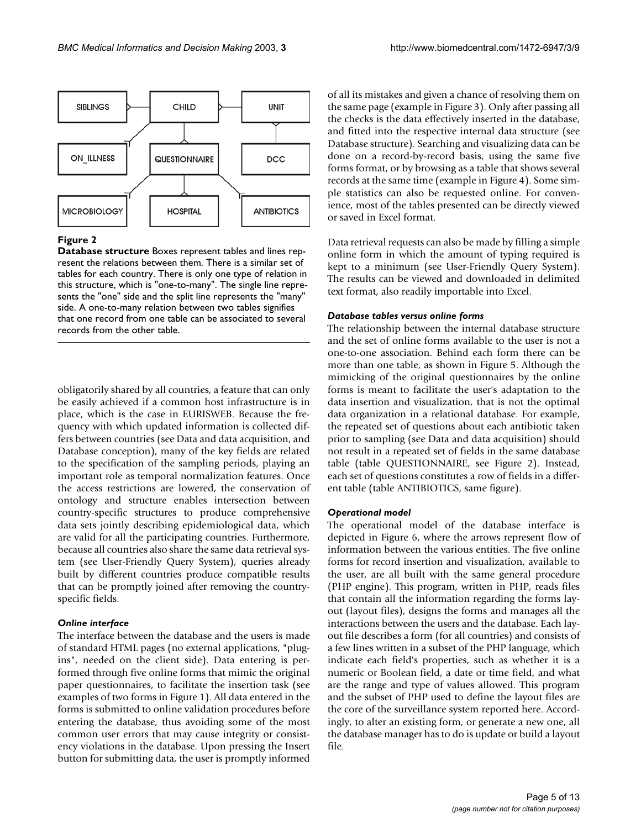

**Database structure** Boxes represent tables and lines represent the relations between them. There is a similar set of tables for each country. There is only one type of relation in this structure, which is "one-to-many". The single line represents the "one" side and the split line represents the "many" side. A one-to-many relation between two tables signifies that one record from one table can be associated to several records from the other table.

obligatorily shared by all countries, a feature that can only be easily achieved if a common host infrastructure is in place, which is the case in EURISWEB. Because the frequency with which updated information is collected differs between countries (see Data and data acquisition, and Database conception), many of the key fields are related to the specification of the sampling periods, playing an important role as temporal normalization features. Once the access restrictions are lowered, the conservation of ontology and structure enables intersection between country-specific structures to produce comprehensive data sets jointly describing epidemiological data, which are valid for all the participating countries. Furthermore, because all countries also share the same data retrieval system (see User-Friendly Query System), queries already built by different countries produce compatible results that can be promptly joined after removing the countryspecific fields.

# *Online interface*

The interface between the database and the users is made of standard HTML pages (no external applications, "plugins", needed on the client side). Data entering is performed through five online forms that mimic the original paper questionnaires, to facilitate the insertion task (see examples of two forms in Figure 1). All data entered in the forms is submitted to online validation procedures before entering the database, thus avoiding some of the most common user errors that may cause integrity or consistency violations in the database. Upon pressing the Insert button for submitting data, the user is promptly informed

of all its mistakes and given a chance of resolving them on the same page (example in Figure 3). Only after passing all the checks is the data effectively inserted in the database, and fitted into the respective internal data structure (see Database structure). Searching and visualizing data can be done on a record-by-record basis, using the same five forms format, or by browsing as a table that shows several records at the same time (example in Figure 4). Some simple statistics can also be requested online. For convenience, most of the tables presented can be directly viewed or saved in Excel format.

Data retrieval requests can also be made by filling a simple online form in which the amount of typing required is kept to a minimum (see User-Friendly Query System). The results can be viewed and downloaded in delimited text format, also readily importable into Excel.

#### *Database tables versus online forms*

The relationship between the internal database structure and the set of online forms available to the user is not a one-to-one association. Behind each form there can be more than one table, as shown in Figure 5. Although the mimicking of the original questionnaires by the online forms is meant to facilitate the user's adaptation to the data insertion and visualization, that is not the optimal data organization in a relational database. For example, the repeated set of questions about each antibiotic taken prior to sampling (see Data and data acquisition) should not result in a repeated set of fields in the same database table (table QUESTIONNAIRE, see Figure 2). Instead, each set of questions constitutes a row of fields in a different table (table ANTIBIOTICS, same figure).

#### *Operational model*

The operational model of the database interface is depicted in Figure 6, where the arrows represent flow of information between the various entities. The five online forms for record insertion and visualization, available to the user, are all built with the same general procedure (PHP engine). This program, written in PHP, reads files that contain all the information regarding the forms layout (layout files), designs the forms and manages all the interactions between the users and the database. Each layout file describes a form (for all countries) and consists of a few lines written in a subset of the PHP language, which indicate each field's properties, such as whether it is a numeric or Boolean field, a date or time field, and what are the range and type of values allowed. This program and the subset of PHP used to define the layout files are the core of the surveillance system reported here. Accordingly, to alter an existing form, or generate a new one, all the database manager has to do is update or build a layout file.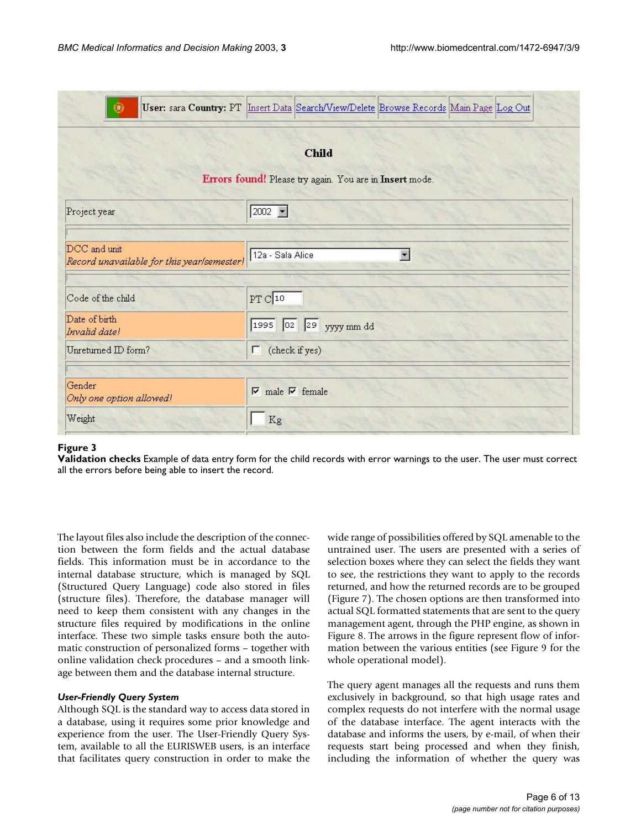|                                                                         | User: sara Country: PT Insert Data Search/View/Delete Browse Records Main Page Log Out |  |  |  |  |  |
|-------------------------------------------------------------------------|----------------------------------------------------------------------------------------|--|--|--|--|--|
| <b>Child</b><br>Errors found! Please try again. You are in Insert mode. |                                                                                        |  |  |  |  |  |
| Project year                                                            | $2002 -$                                                                               |  |  |  |  |  |
| DCC and unit<br>Record unavailable for this year/semester!              | 12a - Sala Alice<br>$\blacksquare$                                                     |  |  |  |  |  |
| Code of the child                                                       | $PTC$ <sup>10</sup>                                                                    |  |  |  |  |  |
| Date of birth<br>Invalid date!                                          | 1995 <br>yyyy mm dd<br> 02 <br>29                                                      |  |  |  |  |  |
| Unreturned ID form?                                                     | (check if yes)<br>п.                                                                   |  |  |  |  |  |
| Gender<br>Only one option allowed!                                      | $\nabla$ male $\nabla$ female                                                          |  |  |  |  |  |
| Weight                                                                  | Kg                                                                                     |  |  |  |  |  |

**Validation checks** Example of data entry form for the child records with error warnings to the user. The user must correct all the errors before being able to insert the record.

The layout files also include the description of the connection between the form fields and the actual database fields. This information must be in accordance to the internal database structure, which is managed by SQL (Structured Query Language) code also stored in files (structure files). Therefore, the database manager will need to keep them consistent with any changes in the structure files required by modifications in the online interface. These two simple tasks ensure both the automatic construction of personalized forms – together with online validation check procedures – and a smooth linkage between them and the database internal structure.

# *User-Friendly Query System*

Although SQL is the standard way to access data stored in a database, using it requires some prior knowledge and experience from the user. The User-Friendly Query System, available to all the EURISWEB users, is an interface that facilitates query construction in order to make the wide range of possibilities offered by SQL amenable to the untrained user. The users are presented with a series of selection boxes where they can select the fields they want to see, the restrictions they want to apply to the records returned, and how the returned records are to be grouped (Figure 7). The chosen options are then transformed into actual SQL formatted statements that are sent to the query management agent, through the PHP engine, as shown in Figure 8. The arrows in the figure represent flow of information between the various entities (see Figure 9 for the whole operational model).

The query agent manages all the requests and runs them exclusively in background, so that high usage rates and complex requests do not interfere with the normal usage of the database interface. The agent interacts with the database and informs the users, by e-mail, of when their requests start being processed and when they finish, including the information of whether the query was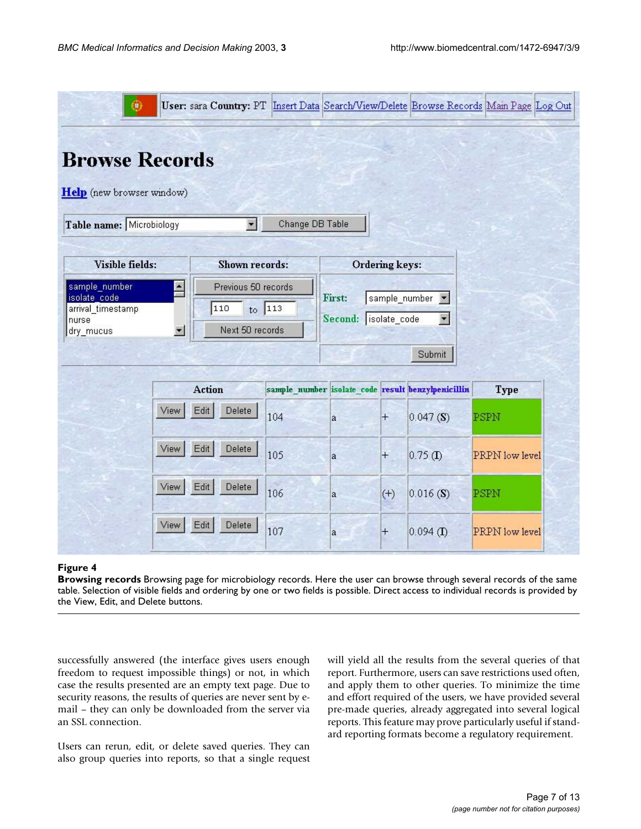| Œ.                                                                                                                       |      |                                                                 |                          |                                                                        |                       |                    |                                                    | User: sara Country: PT Insert Data Search/View/Delete Browse Records Main Page Log Out |  |
|--------------------------------------------------------------------------------------------------------------------------|------|-----------------------------------------------------------------|--------------------------|------------------------------------------------------------------------|-----------------------|--------------------|----------------------------------------------------|----------------------------------------------------------------------------------------|--|
| <b>Browse Records</b><br>Help (new browser window)<br>Table name: Microbiology                                           |      |                                                                 | $\overline{\phantom{a}}$ | Change DB Table                                                        |                       |                    |                                                    |                                                                                        |  |
| <b>Visible fields:</b>                                                                                                   |      |                                                                 | <b>Shown records:</b>    |                                                                        | <b>Ordering keys:</b> |                    |                                                    |                                                                                        |  |
| sample_number<br>$\blacktriangle$<br>isolate code<br>arrival_timestamp<br>nurse<br>$\overline{\phantom{a}}$<br>dry_mucus |      | Previous 50 records<br>$\frac{1}{13}$<br>110<br>Next 50 records |                          | sample number v<br>First:<br>isolate_code<br>$\blacksquare$<br>Second: |                       |                    |                                                    |                                                                                        |  |
|                                                                                                                          |      |                                                                 |                          |                                                                        |                       |                    | Submit                                             |                                                                                        |  |
|                                                                                                                          |      |                                                                 | <b>Action</b>            |                                                                        |                       |                    | sample number isolate code result benzylpenicillin | <b>Type</b>                                                                            |  |
|                                                                                                                          | View | Edit                                                            | Delete                   | 104                                                                    | la.                   | $+$                | 0.047(S)                                           | PSPN                                                                                   |  |
|                                                                                                                          | View | Edit                                                            | Delete                   | 105                                                                    | la.                   | $+$                | $0.75$ (I)                                         | PRPN low level                                                                         |  |
|                                                                                                                          | View | Edit                                                            | Delete                   | 106                                                                    | la.                   | $(+)$              | 0.016(S)                                           | PSPN                                                                                   |  |
|                                                                                                                          | View | Edit                                                            | Delete                   | 107                                                                    | $\mathbf{a}$          | $\left  + \right $ | $0.094$ (I)                                        | PRPN low level                                                                         |  |

**Browsing records** Browsing page for microbiology records. Here the user can browse through several records of the same table. Selection of visible fields and ordering by one or two fields is possible. Direct access to individual records is provided by the View, Edit, and Delete buttons.

successfully answered (the interface gives users enough freedom to request impossible things) or not, in which case the results presented are an empty text page. Due to security reasons, the results of queries are never sent by email – they can only be downloaded from the server via an SSL connection.

Users can rerun, edit, or delete saved queries. They can also group queries into reports, so that a single request will yield all the results from the several queries of that report. Furthermore, users can save restrictions used often, and apply them to other queries. To minimize the time and effort required of the users, we have provided several pre-made queries, already aggregated into several logical reports. This feature may prove particularly useful if standard reporting formats become a regulatory requirement.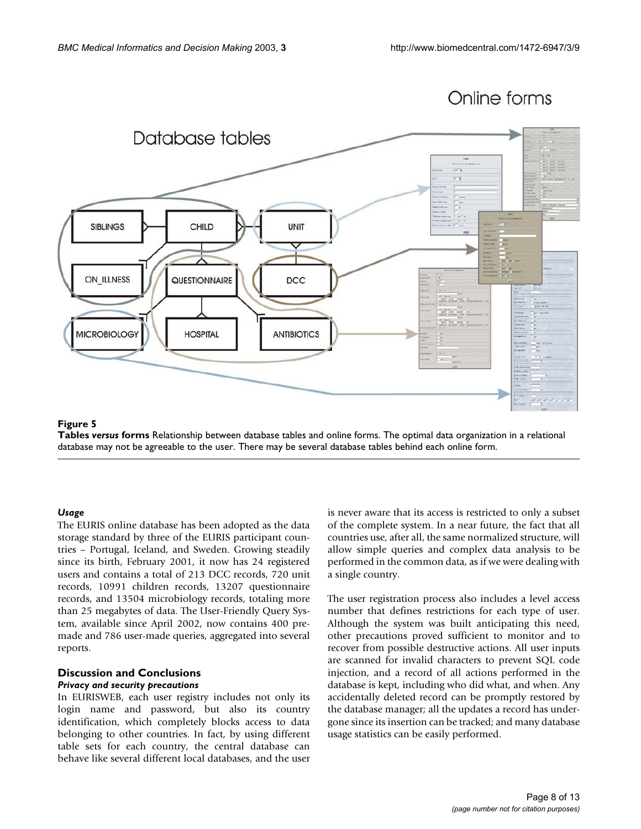



**Tables** *versus* **forms** Relationship between database tables and online forms. The optimal data organization in a relational database may not be agreeable to the user. There may be several database tables behind each online form.

#### *Usage*

The EURIS online database has been adopted as the data storage standard by three of the EURIS participant countries – Portugal, Iceland, and Sweden. Growing steadily since its birth, February 2001, it now has 24 registered users and contains a total of 213 DCC records, 720 unit records, 10991 children records, 13207 questionnaire records, and 13504 microbiology records, totaling more than 25 megabytes of data. The User-Friendly Query System, available since April 2002, now contains 400 premade and 786 user-made queries, aggregated into several reports.

#### **Discussion and Conclusions** *Privacy and security precautions*

In EURISWEB, each user registry includes not only its login name and password, but also its country identification, which completely blocks access to data belonging to other countries. In fact, by using different table sets for each country, the central database can behave like several different local databases, and the user is never aware that its access is restricted to only a subset of the complete system. In a near future, the fact that all countries use, after all, the same normalized structure, will allow simple queries and complex data analysis to be performed in the common data, as if we were dealing with a single country.

The user registration process also includes a level access number that defines restrictions for each type of user. Although the system was built anticipating this need, other precautions proved sufficient to monitor and to recover from possible destructive actions. All user inputs are scanned for invalid characters to prevent SQL code injection, and a record of all actions performed in the database is kept, including who did what, and when. Any accidentally deleted record can be promptly restored by the database manager; all the updates a record has undergone since its insertion can be tracked; and many database usage statistics can be easily performed.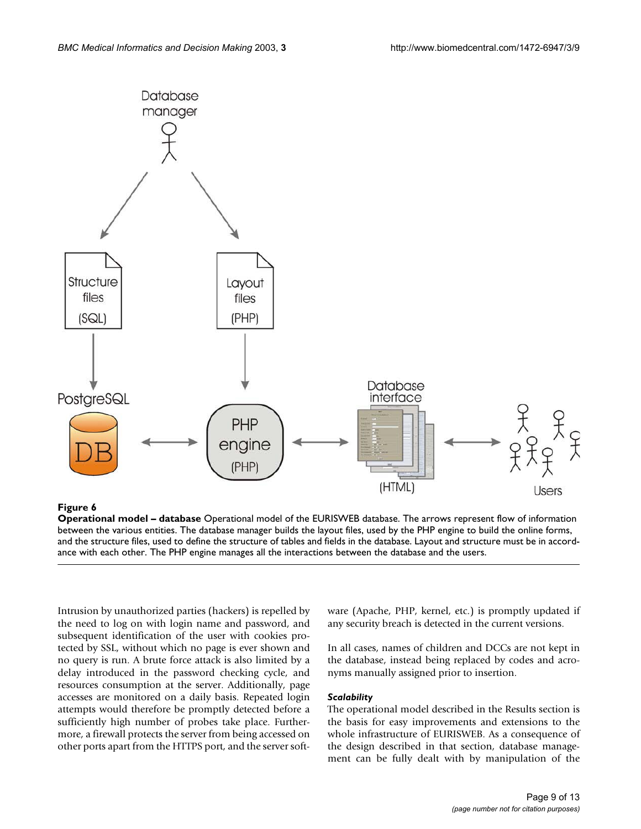![](_page_8_Figure_2.jpeg)

**Operational model – database** Operational model of the EURISWEB database. The arrows represent flow of information between the various entities. The database manager builds the layout files, used by the PHP engine to build the online forms, and the structure files, used to define the structure of tables and fields in the database. Layout and structure must be in accordance with each other. The PHP engine manages all the interactions between the database and the users.

Intrusion by unauthorized parties (hackers) is repelled by the need to log on with login name and password, and subsequent identification of the user with cookies protected by SSL, without which no page is ever shown and no query is run. A brute force attack is also limited by a delay introduced in the password checking cycle, and resources consumption at the server. Additionally, page accesses are monitored on a daily basis. Repeated login attempts would therefore be promptly detected before a sufficiently high number of probes take place. Furthermore, a firewall protects the server from being accessed on other ports apart from the HTTPS port, and the server software (Apache, PHP, kernel, etc.) is promptly updated if any security breach is detected in the current versions.

In all cases, names of children and DCCs are not kept in the database, instead being replaced by codes and acronyms manually assigned prior to insertion.

#### *Scalability*

The operational model described in the Results section is the basis for easy improvements and extensions to the whole infrastructure of EURISWEB. As a consequence of the design described in that section, database management can be fully dealt with by manipulation of the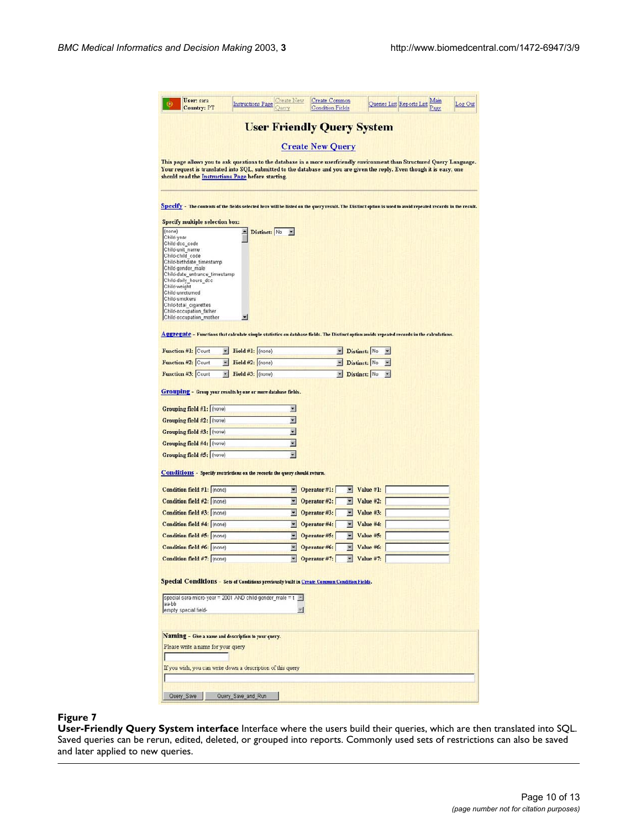| User: sara<br>Country: PT                                                                                                                                   | Create New<br><b>Instructions Page</b><br>Juery | Create Common<br>Condition Fields |              |                                 | Main<br>Queries List Reports List<br>Page | Log Out |
|-------------------------------------------------------------------------------------------------------------------------------------------------------------|-------------------------------------------------|-----------------------------------|--------------|---------------------------------|-------------------------------------------|---------|
|                                                                                                                                                             | <b>User Friendly Query System</b>               |                                   |              |                                 |                                           |         |
|                                                                                                                                                             |                                                 | <b>Create New Query</b>           |              |                                 |                                           |         |
| This page allows you to ask questions to the database in a more userfriendly environment than Structured Query Language.                                    |                                                 |                                   |              |                                 |                                           |         |
| <u>Your request is translated into SQL, submitted to the database and you are given the reply. Even though it is easy, one</u>                              |                                                 |                                   |              |                                 |                                           |         |
| should read the Instructions Page before starting.                                                                                                          |                                                 |                                   |              |                                 |                                           |         |
|                                                                                                                                                             |                                                 |                                   |              |                                 |                                           |         |
| Specify - The contents of the fields selected here will be listed on the query result. The Distinct option is used to avoid repeated records in the result. |                                                 |                                   |              |                                 |                                           |         |
| <b>Specify multiple selection box:</b>                                                                                                                      |                                                 |                                   |              |                                 |                                           |         |
| (none)<br>Child-year                                                                                                                                        | Distinct: No                                    |                                   |              |                                 |                                           |         |
| Child-dcc_code<br>Child-unit_name                                                                                                                           |                                                 |                                   |              |                                 |                                           |         |
| Child-child_code<br>Child-birthdate_timestamp                                                                                                               |                                                 |                                   |              |                                 |                                           |         |
| Child-gender_male<br>Child-date_entrance_timestamp                                                                                                          |                                                 |                                   |              |                                 |                                           |         |
| Child-daily_hours_dcc<br>Child-weight                                                                                                                       |                                                 |                                   |              |                                 |                                           |         |
| Child-unreturned<br>Child-smokers                                                                                                                           |                                                 |                                   |              |                                 |                                           |         |
| Child-total_cigarettes<br>Child-occupation_father                                                                                                           |                                                 |                                   |              |                                 |                                           |         |
| Child-occupation_mother                                                                                                                                     | ≂                                               |                                   |              |                                 |                                           |         |
| Aggregate - Functions that calculate simple statistics on database fields. The Distinct option avoids repeated records in the calculations.                 |                                                 |                                   |              |                                 |                                           |         |
| Function #1: Count                                                                                                                                          | Field #1: (none)                                |                                   | Distinct: No | 圖                               |                                           |         |
| Function #2: Count                                                                                                                                          | $\blacktriangleright$ Field #2: (none)          |                                   | Distinct: No | $\overline{r}$                  |                                           |         |
| Function #3: Count                                                                                                                                          | $\blacktriangleright$ Field #3: (none)          |                                   | Distinct: No | $\mathbf{z}$                    |                                           |         |
| Grouping - Group your results by one or more database fields.                                                                                               |                                                 |                                   |              |                                 |                                           |         |
| Grouping field #1: (none)                                                                                                                                   | $\overline{\mathcal{L}}$                        |                                   |              |                                 |                                           |         |
| Grouping field #2: (none)                                                                                                                                   | Ξ                                               |                                   |              |                                 |                                           |         |
| Grouping field #3: (none)                                                                                                                                   | Ξ                                               |                                   |              |                                 |                                           |         |
| Grouping field #4: (none)                                                                                                                                   | 圛                                               |                                   |              |                                 |                                           |         |
| Grouping field #5: (none)                                                                                                                                   | $\overline{\mathbf{r}}$                         |                                   |              |                                 |                                           |         |
| Conditions - Specify restrictions on the records the query should return.                                                                                   |                                                 |                                   |              |                                 |                                           |         |
| Condition field #1: (none)                                                                                                                                  |                                                 | Operator #1:                      |              | $\blacktriangleright$ Value #1: |                                           |         |
| Condition field #2: (none)                                                                                                                                  |                                                 | $\neg$ Operator #2:               |              | $\blacktriangleright$ Value #2: |                                           |         |
| Condition field #3: (none)                                                                                                                                  |                                                 | $\neg$ Operator #3:               |              | $\blacktriangleright$ Value #3: |                                           |         |
| Condition field #4: (none)                                                                                                                                  |                                                 | $\neg$ Operator #4:               |              | $\blacktriangleright$ Value #4: |                                           |         |
| Condition field #5: (none)                                                                                                                                  |                                                 | • Operator #5:                    |              | $\blacktriangleright$ Value #5: |                                           |         |
| Condition field #6: (none)                                                                                                                                  |                                                 | • Operator #6:                    |              | $\blacktriangleright$ Value #6: |                                           |         |
| Condition field #7: (none)                                                                                                                                  |                                                 | Operator #7:                      |              | $\sqrt{\phantom{a}}$ Value #7:  |                                           |         |
| Special Conditions - Sets of Conditions previously built in Create Common Condition Fields.                                                                 |                                                 |                                   |              |                                 |                                           |         |
|                                                                                                                                                             |                                                 |                                   |              |                                 |                                           |         |
| special sara-micro-year = 2001 AND child-gender_male = t<br>aa-bb                                                                                           |                                                 |                                   |              |                                 |                                           |         |
| empty special field-                                                                                                                                        |                                                 |                                   |              |                                 |                                           |         |
|                                                                                                                                                             |                                                 |                                   |              |                                 |                                           |         |
| Naming - Give a name and description to your query.                                                                                                         |                                                 |                                   |              |                                 |                                           |         |
| Please write a name for your query                                                                                                                          |                                                 |                                   |              |                                 |                                           |         |
| If you wish, you can write down a description of this query                                                                                                 |                                                 |                                   |              |                                 |                                           |         |
|                                                                                                                                                             |                                                 |                                   |              |                                 |                                           |         |
| Query_Save                                                                                                                                                  | Query_Save_and_Run                              |                                   |              |                                 |                                           |         |

**User-Friendly Query System interface** Interface where the users build their queries, which are then translated into SQL. Saved queries can be rerun, edited, deleted, or grouped into reports. Commonly used sets of restrictions can also be saved and later applied to new queries.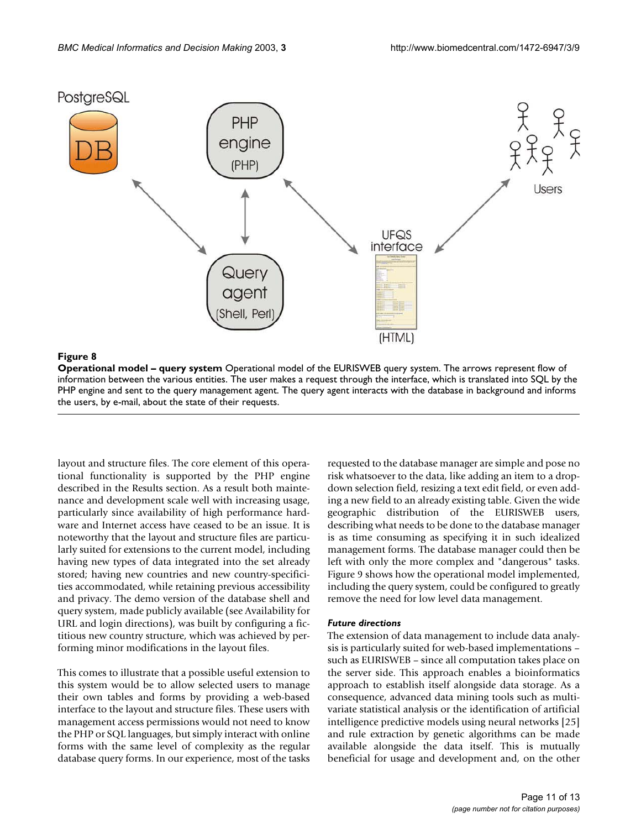![](_page_10_Figure_2.jpeg)

**Operational model – query system** Operational model of the EURISWEB query system. The arrows represent flow of information between the various entities. The user makes a request through the interface, which is translated into SQL by the PHP engine and sent to the query management agent. The query agent interacts with the database in background and informs the users, by e-mail, about the state of their requests.

layout and structure files. The core element of this operational functionality is supported by the PHP engine described in the Results section. As a result both maintenance and development scale well with increasing usage, particularly since availability of high performance hardware and Internet access have ceased to be an issue. It is noteworthy that the layout and structure files are particularly suited for extensions to the current model, including having new types of data integrated into the set already stored; having new countries and new country-specificities accommodated, while retaining previous accessibility and privacy. The demo version of the database shell and query system, made publicly available (see Availability for URL and login directions), was built by configuring a fictitious new country structure, which was achieved by performing minor modifications in the layout files.

This comes to illustrate that a possible useful extension to this system would be to allow selected users to manage their own tables and forms by providing a web-based interface to the layout and structure files. These users with management access permissions would not need to know the PHP or SQL languages, but simply interact with online forms with the same level of complexity as the regular database query forms. In our experience, most of the tasks requested to the database manager are simple and pose no risk whatsoever to the data, like adding an item to a dropdown selection field, resizing a text edit field, or even adding a new field to an already existing table. Given the wide geographic distribution of the EURISWEB users, describing what needs to be done to the database manager is as time consuming as specifying it in such idealized management forms. The database manager could then be left with only the more complex and "dangerous" tasks. Figure 9 shows how the operational model implemented, including the query system, could be configured to greatly remove the need for low level data management.

# *Future directions*

The extension of data management to include data analysis is particularly suited for web-based implementations – such as EURISWEB – since all computation takes place on the server side. This approach enables a bioinformatics approach to establish itself alongside data storage. As a consequence, advanced data mining tools such as multivariate statistical analysis or the identification of artificial intelligence predictive models using neural networks [25] and rule extraction by genetic algorithms can be made available alongside the data itself. This is mutually beneficial for usage and development and, on the other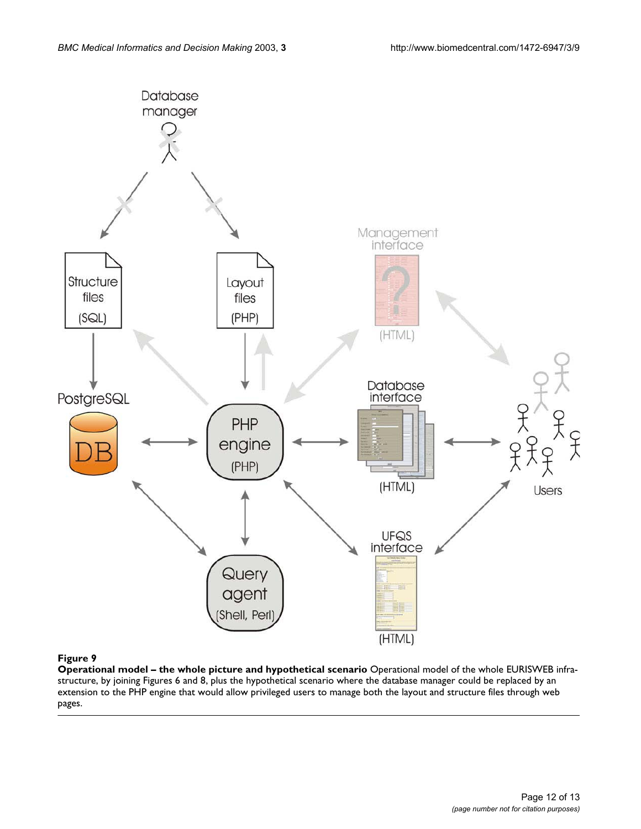![](_page_11_Figure_2.jpeg)

**Operational model – the whole picture and hypothetical scenario** Operational model of the whole EURISWEB infrastructure, by joining Figures 6 and 8, plus the hypothetical scenario where the database manager could be replaced by an extension to the PHP engine that would allow privileged users to manage both the layout and structure files through web pages.